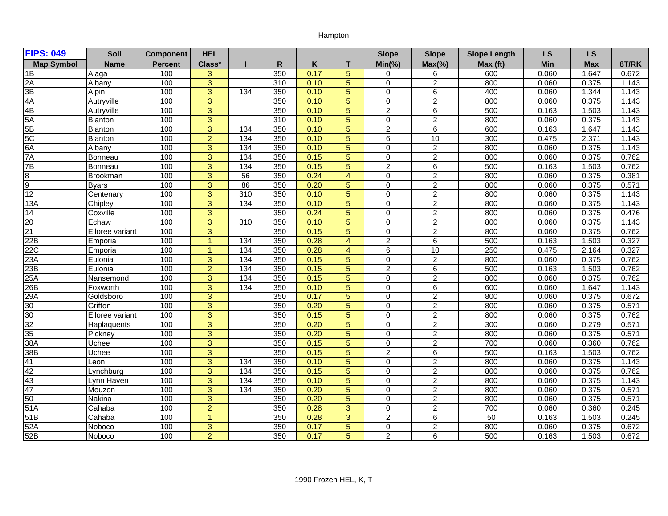## Hampton

| <b>FIPS: 049</b>  | Soil            | <b>Component</b> | <b>HEL</b>     |                  |     |      |                 | <b>Slope</b>   | <b>Slope</b>   | <b>Slope Length</b> | <b>LS</b> | <b>LS</b>  |       |
|-------------------|-----------------|------------------|----------------|------------------|-----|------|-----------------|----------------|----------------|---------------------|-----------|------------|-------|
| <b>Map Symbol</b> | <b>Name</b>     | <b>Percent</b>   | Class*         |                  | R   | K    | т               | $Min(\% )$     | $Max(\% )$     | Max (ft)            | Min       | <b>Max</b> | 8T/RK |
| 1Β                | Alaga           | 100              | 3              |                  | 350 | 0.17 | 5               | 0              | 6              | 600                 | 0.060     | 1.647      | 0.672 |
| 2A                | Albany          | 100              | $\overline{3}$ |                  | 310 | 0.10 | 5               | $\Omega$       | $\overline{2}$ | 800                 | 0.060     | 0.375      | 1.143 |
| 3B                | Alpin           | 100              | $\overline{3}$ | $\frac{1}{134}$  | 350 | 0.10 | 5               | $\Omega$       | 6              | 400                 | 0.060     | 1.344      | 1.143 |
| 4A                | Autryville      | 100              | 3              |                  | 350 | 0.10 | 5               | $\Omega$       | 2              | 800                 | 0.060     | 0.375      | 1.143 |
| 4B                | Autryville      | 100              | $\overline{3}$ |                  | 350 | 0.10 | 5               | $\overline{c}$ | $\,6\,$        | 500                 | 0.163     | 1.503      | 1.143 |
| 5A                | Blanton         | 100              | $\overline{3}$ |                  | 310 | 0.10 | $\overline{5}$  | $\overline{0}$ | $\overline{2}$ | 800                 | 0.060     | 0.375      | 1.143 |
| 5B                | Blanton         | 100              | $\overline{3}$ | $\frac{1}{134}$  | 350 | 0.10 | 5               | $\overline{2}$ | $\overline{6}$ | 600                 | 0.163     | 1.647      | 1.143 |
| 5C                | <b>Blanton</b>  | 100              | $\overline{2}$ | $\overline{134}$ | 350 | 0.10 | 5               | 6              | 10             | 300                 | 0.475     | 2.371      | 1.143 |
| 6A                | Albany          | 100              | $\overline{3}$ | 134              | 350 | 0.10 | 5               | $\mathbf 0$    | $\overline{2}$ | 800                 | 0.060     | 0.375      | 1.143 |
| 7A                | Bonneau         | 100              | $\overline{3}$ | 134              | 350 | 0.15 | $5\phantom{.0}$ | $\mathbf 0$    | $\overline{2}$ | 800                 | 0.060     | 0.375      | 0.762 |
| 7B                | Bonneau         | 100              | $\overline{3}$ | 134              | 350 | 0.15 | 5               | $\overline{2}$ | 6              | 500                 | 0.163     | 1.503      | 0.762 |
| $\overline{8}$    | Brookman        | 100              | 3              | $\overline{56}$  | 350 | 0.24 | $\overline{4}$  | $\mathbf 0$    | $\overline{2}$ | 800                 | 0.060     | 0.375      | 0.381 |
| 9                 | <b>Byars</b>    | 100              | $\overline{3}$ | 86               | 350 | 0.20 | 5               | $\mathbf 0$    | $\overline{2}$ | 800                 | 0.060     | 0.375      | 0.571 |
| 12                | Centenary       | 100              | $\overline{3}$ | 310              | 350 | 0.10 | $5\phantom{.0}$ | $\Omega$       | $\overline{2}$ | 800                 | 0.060     | 0.375      | 1.143 |
| 13A               | Chipley         | 100              | $\overline{3}$ | 134              | 350 | 0.10 | 5               | $\Omega$       | $\overline{2}$ | 800                 | 0.060     | 0.375      | 1.143 |
| 14                | Coxville        | 100              | $\mathbf{3}$   |                  | 350 | 0.24 | 5               | $\mathbf 0$    | $\overline{c}$ | 800                 | 0.060     | 0.375      | 0.476 |
| $\frac{20}{21}$   | Echaw           | 100              | $\overline{3}$ | 310              | 350 | 0.10 | 5               | $\mathbf 0$    | $\overline{2}$ | 800                 | 0.060     | 0.375      | 1.143 |
|                   | Elloree variant | 100              | $\overline{3}$ |                  | 350 | 0.15 | 5               | $\Omega$       | $\overline{2}$ | 800                 | 0.060     | 0.375      | 0.762 |
| 22B               | Emporia         | 100              | $\mathbf{1}$   | 134              | 350 | 0.28 | $\overline{4}$  | $\overline{2}$ | 6              | 500                 | 0.163     | 1.503      | 0.327 |
| 22C               | Emporia         | 100              | $\mathbf{1}$   | $\overline{134}$ | 350 | 0.28 | $\overline{4}$  | 6              | 10             | 250                 | 0.475     | 2.164      | 0.327 |
| 23A               | Eulonia         | 100              | 3              | $\frac{134}{2}$  | 350 | 0.15 | 5               | $\Omega$       | 2              | 800                 | 0.060     | 0.375      | 0.762 |
| 23B               | Eulonia         | 100              | $\overline{2}$ | 134              | 350 | 0.15 | 5               | $\overline{2}$ | 6              | 500                 | 0.163     | 1.503      | 0.762 |
| 25A               | Nansemond       | 100              | $\overline{3}$ | $\frac{1}{134}$  | 350 | 0.15 | 5               | $\Omega$       | 2              | 800                 | 0.060     | 0.375      | 0.762 |
| 26B               | Foxworth        | 100              | $\overline{3}$ | 134              | 350 | 0.10 | 5               | $\mathbf 0$    | 6              | 600                 | 0.060     | 1.647      | 1.143 |
| 29A               | Goldsboro       | 100              | $\overline{3}$ |                  | 350 | 0.17 | 5               | $\mathbf 0$    | $\overline{2}$ | 800                 | 0.060     | 0.375      | 0.672 |
| 30                | Grifton         | 100              | $\overline{3}$ |                  | 350 | 0.20 | 5               | $\Omega$       | $\overline{2}$ | 800                 | 0.060     | 0.375      | 0.571 |
| 30                | Elloree variant | 100              | $\overline{3}$ |                  | 350 | 0.15 | 5               | $\Omega$       | 2              | 800                 | 0.060     | 0.375      | 0.762 |
| 32                | Haplaquents     | 100              | $\overline{3}$ |                  | 350 | 0.20 | 5               | $\mathbf 0$    | $\overline{c}$ | 300                 | 0.060     | 0.279      | 0.571 |
| 35                | Pickney         | 100              | $\overline{3}$ |                  | 350 | 0.20 | 5               | $\Omega$       | $\overline{2}$ | 800                 | 0.060     | 0.375      | 0.571 |
| 38A               | Uchee           | 100              | $\overline{3}$ |                  | 350 | 0.15 | 5               | $\Omega$       | $\overline{2}$ | 700                 | 0.060     | 0.360      | 0.762 |
| 38B               | Uchee           | 100              | $\overline{3}$ |                  | 350 | 0.15 | 5               | $\overline{2}$ | 6              | 500                 | 0.163     | 1.503      | 0.762 |
| 41                | Leon            | 100              | $\overline{3}$ | $\frac{1}{34}$   | 350 | 0.10 | 5               | $\Omega$       | $\overline{2}$ | 800                 | 0.060     | 0.375      | 1.143 |
| 42                | Lynchburg       | 100              | $\overline{3}$ | 134              | 350 | 0.15 | 5               | $\mathbf 0$    | $\overline{2}$ | 800                 | 0.060     | 0.375      | 0.762 |
| 43                | Lynn Haven      | 100              | $\overline{3}$ | 134              | 350 | 0.10 | 5               | $\Omega$       | $\overline{2}$ | 800                 | 0.060     | 0.375      | 1.143 |
| 47                | Mouzon          | 100              | $\overline{3}$ | 134              | 350 | 0.20 | 5               | $\mathbf 0$    | $\overline{2}$ | 800                 | 0.060     | 0.375      | 0.571 |
| 50                | Nakina          | 100              | $\overline{3}$ |                  | 350 | 0.20 | 5               | $\Omega$       | $\overline{2}$ | 800                 | 0.060     | 0.375      | 0.571 |
| 51A               | Cahaba          | 100              | $\overline{a}$ |                  | 350 | 0.28 | 3               | $\mathbf 0$    | $\overline{2}$ | 700                 | 0.060     | 0.360      | 0.245 |
| 51B               | Cahaba          | 100              | $\overline{1}$ |                  | 350 | 0.28 | 3               | $\overline{2}$ | 6              | 50                  | 0.163     | 1.503      | 0.245 |
| 52A               | Noboco          | 100              | 3              |                  | 350 | 0.17 | 5               | $\mathbf 0$    | $\overline{2}$ | 800                 | 0.060     | 0.375      | 0.672 |
| 52B               | Noboco          | 100              | $\overline{2}$ |                  | 350 | 0.17 | 5               | $\overline{2}$ | 6              | 500                 | 0.163     | 1.503      | 0.672 |